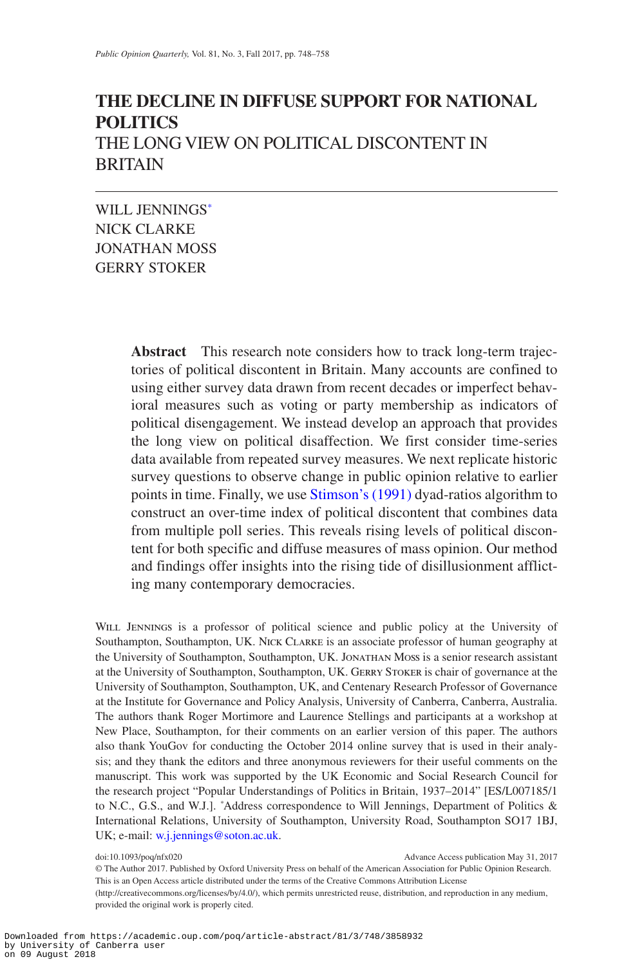# **THE DECLINE IN DIFFUSE SUPPORT FOR NATIONAL POLITICS** THE LONG VIEW ON POLITICAL DISCONTENT IN BRITAIN

WILL JENNING[S\\*](#page-0-0) NICK CLARKE JONATHAN MOSS GERRY STOKER

> **Abstract** This research note considers how to track long-term trajectories of political discontent in Britain. Many accounts are confined to using either survey data drawn from recent decades or imperfect behavioral measures such as voting or party membership as indicators of political disengagement. We instead develop an approach that provides the long view on political disaffection. We first consider time-series data available from repeated survey measures. We next replicate historic survey questions to observe change in public opinion relative to earlier points in time. Finally, we use [Stimson's \(1991\)](#page-10-0) dyad-ratios algorithm to construct an over-time index of political discontent that combines data from multiple poll series. This reveals rising levels of political discontent for both specific and diffuse measures of mass opinion. Our method and findings offer insights into the rising tide of disillusionment afflicting many contemporary democracies.

WILL JENNINGS is a professor of political science and public policy at the University of Southampton, Southampton, UK. Nick Clarke is an associate professor of human geography at the University of Southampton, Southampton, UK. Jonathan Moss is a senior research assistant at the University of Southampton, Southampton, UK. GERRY STOKER is chair of governance at the University of Southampton, Southampton, UK, and Centenary Research Professor of Governance at the Institute for Governance and Policy Analysis, University of Canberra, Canberra, Australia. The authors thank Roger Mortimore and Laurence Stellings and participants at a workshop at New Place, Southampton, for their comments on an earlier version of this paper. The authors also thank YouGov for conducting the October 2014 online survey that is used in their analysis; and they thank the editors and three anonymous reviewers for their useful comments on the manuscript. This work was supported by the UK Economic and Social Research Council for the research project "Popular Understandings of Politics in Britain, 1937–2014" [ES/L007185/1 to N.C., G.S., and W.J.]. \* Address correspondence to Will Jennings, Department of Politics & International Relations, University of Southampton, University Road, Southampton SO17 1BJ, UK; e-mail: [w.j.jennings@soton.ac.uk.](mailto:w.j.jennings@soton.ac.uk?subject=)

<span id="page-0-0"></span>doi:10.1093/poq/nfx020 Advance Access publication May 31, 2017

© The Author 2017. Published by Oxford University Press on behalf of the American Association for Public Opinion Research. This is an Open Access article distributed under the terms of the Creative Commons Attribution License (http://creativecommons.org/licenses/by/4.0/), which permits unrestricted reuse, distribution, and reproduction in any medium, provided the original work is properly cited.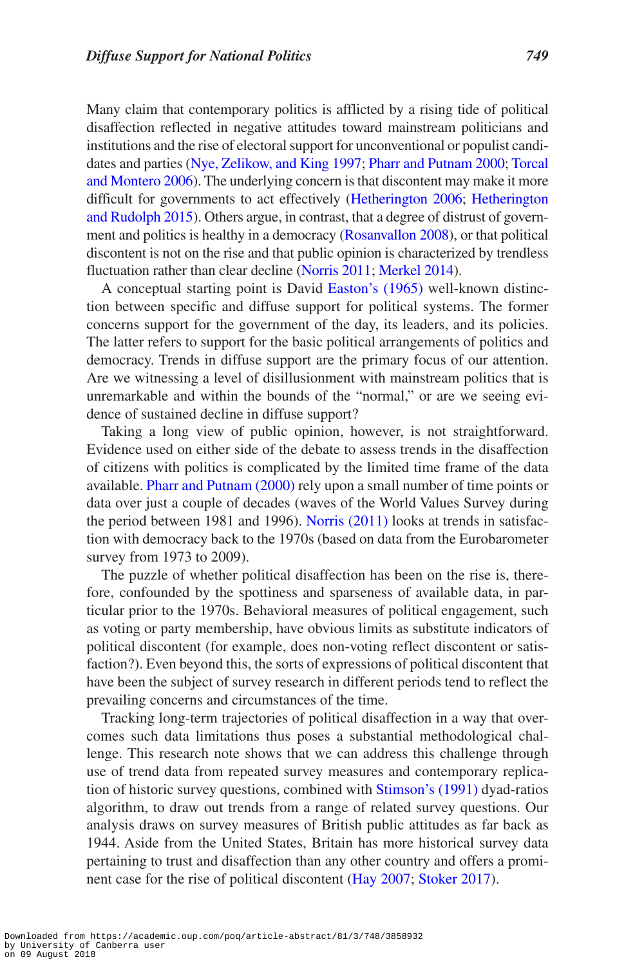Many claim that contemporary politics is afflicted by a rising tide of political disaffection reflected in negative attitudes toward mainstream politicians and institutions and the rise of electoral support for unconventional or populist candidates and parties ([Nye, Zelikow, and King 1997](#page-10-1); [Pharr and Putnam 2000;](#page-10-2) [Torcal](#page-10-3) [and Montero 2006](#page-10-3)). The underlying concern is that discontent may make it more difficult for governments to act effectively [\(Hetherington 2006](#page-9-0); [Hetherington](#page-9-1) [and Rudolph 2015\)](#page-9-1). Others argue, in contrast, that a degree of distrust of government and politics is healthy in a democracy [\(Rosanvallon 2008](#page-10-4)), or that political discontent is not on the rise and that public opinion is characterized by trendless fluctuation rather than clear decline [\(Norris 2011](#page-10-5); [Merkel 2014](#page-9-2)).

A conceptual starting point is David [Easton's \(1965\)](#page-9-3) well-known distinction between specific and diffuse support for political systems. The former concerns support for the government of the day, its leaders, and its policies. The latter refers to support for the basic political arrangements of politics and democracy. Trends in diffuse support are the primary focus of our attention. Are we witnessing a level of disillusionment with mainstream politics that is unremarkable and within the bounds of the "normal," or are we seeing evidence of sustained decline in diffuse support?

Taking a long view of public opinion, however, is not straightforward. Evidence used on either side of the debate to assess trends in the disaffection of citizens with politics is complicated by the limited time frame of the data available. [Pharr and Putnam \(2000\)](#page-10-2) rely upon a small number of time points or data over just a couple of decades (waves of the World Values Survey during the period between 1981 and 1996). [Norris \(2011\)](#page-10-5) looks at trends in satisfaction with democracy back to the 1970s (based on data from the Eurobarometer survey from 1973 to 2009).

The puzzle of whether political disaffection has been on the rise is, therefore, confounded by the spottiness and sparseness of available data, in particular prior to the 1970s. Behavioral measures of political engagement, such as voting or party membership, have obvious limits as substitute indicators of political discontent (for example, does non-voting reflect discontent or satisfaction?). Even beyond this, the sorts of expressions of political discontent that have been the subject of survey research in different periods tend to reflect the prevailing concerns and circumstances of the time.

Tracking long-term trajectories of political disaffection in a way that overcomes such data limitations thus poses a substantial methodological challenge. This research note shows that we can address this challenge through use of trend data from repeated survey measures and contemporary replication of historic survey questions, combined with [Stimson's \(1991\)](#page-10-0) dyad-ratios algorithm, to draw out trends from a range of related survey questions. Our analysis draws on survey measures of British public attitudes as far back as 1944. Aside from the United States, Britain has more historical survey data pertaining to trust and disaffection than any other country and offers a prominent case for the rise of political discontent [\(Hay 2007](#page-9-4); [Stoker 2017](#page-10-6)).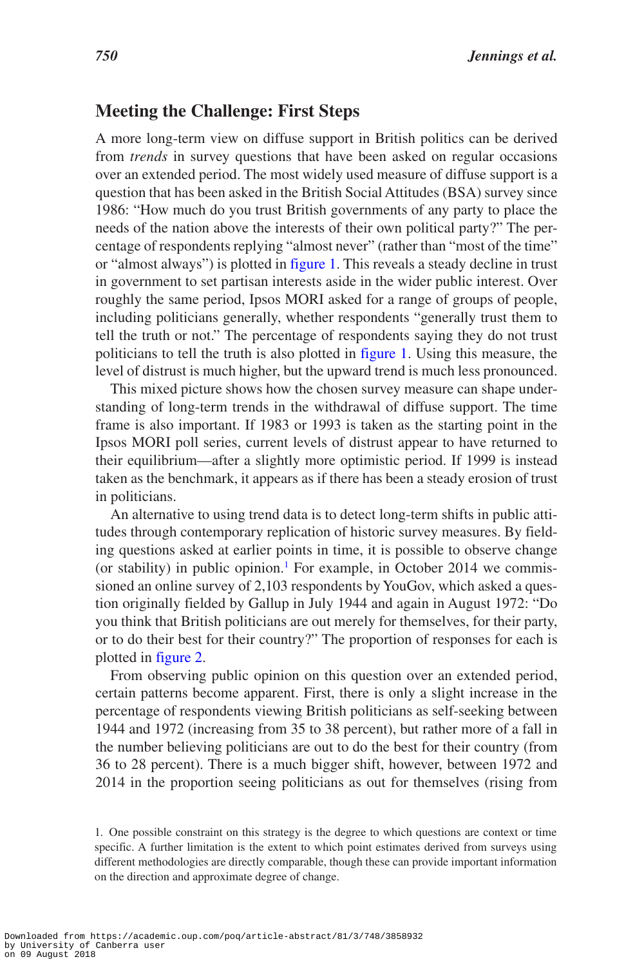### **Meeting the Challenge: First Steps**

A more long-term view on diffuse support in British politics can be derived from *trends* in survey questions that have been asked on regular occasions over an extended period. The most widely used measure of diffuse support is a question that has been asked in the British Social Attitudes (BSA) survey since 1986: "How much do you trust British governments of any party to place the needs of the nation above the interests of their own political party?" The percentage of respondents replying "almost never" (rather than "most of the time" or "almost always") is plotted in [figure 1.](#page-3-0) This reveals a steady decline in trust in government to set partisan interests aside in the wider public interest. Over roughly the same period, Ipsos MORI asked for a range of groups of people, including politicians generally, whether respondents "generally trust them to tell the truth or not." The percentage of respondents saying they do not trust politicians to tell the truth is also plotted in [figure 1](#page-3-0). Using this measure, the level of distrust is much higher, but the upward trend is much less pronounced.

This mixed picture shows how the chosen survey measure can shape understanding of long-term trends in the withdrawal of diffuse support. The time frame is also important. If 1983 or 1993 is taken as the starting point in the Ipsos MORI poll series, current levels of distrust appear to have returned to their equilibrium—after a slightly more optimistic period. If 1999 is instead taken as the benchmark, it appears as if there has been a steady erosion of trust in politicians.

An alternative to using trend data is to detect long-term shifts in public attitudes through contemporary replication of historic survey measures. By fielding questions asked at earlier points in time, it is possible to observe change (or stability) in public opinion.<sup>[1](#page-2-0)</sup> For example, in October 2014 we commissioned an online survey of 2,103 respondents by YouGov, which asked a question originally fielded by Gallup in July 1944 and again in August 1972: "Do you think that British politicians are out merely for themselves, for their party, or to do their best for their country?" The proportion of responses for each is plotted in [figure 2.](#page-3-1)

From observing public opinion on this question over an extended period, certain patterns become apparent. First, there is only a slight increase in the percentage of respondents viewing British politicians as self-seeking between 1944 and 1972 (increasing from 35 to 38 percent), but rather more of a fall in the number believing politicians are out to do the best for their country (from 36 to 28 percent). There is a much bigger shift, however, between 1972 and 2014 in the proportion seeing politicians as out for themselves (rising from

<span id="page-2-0"></span><sup>1.</sup> One possible constraint on this strategy is the degree to which questions are context or time specific. A further limitation is the extent to which point estimates derived from surveys using different methodologies are directly comparable, though these can provide important information on the direction and approximate degree of change.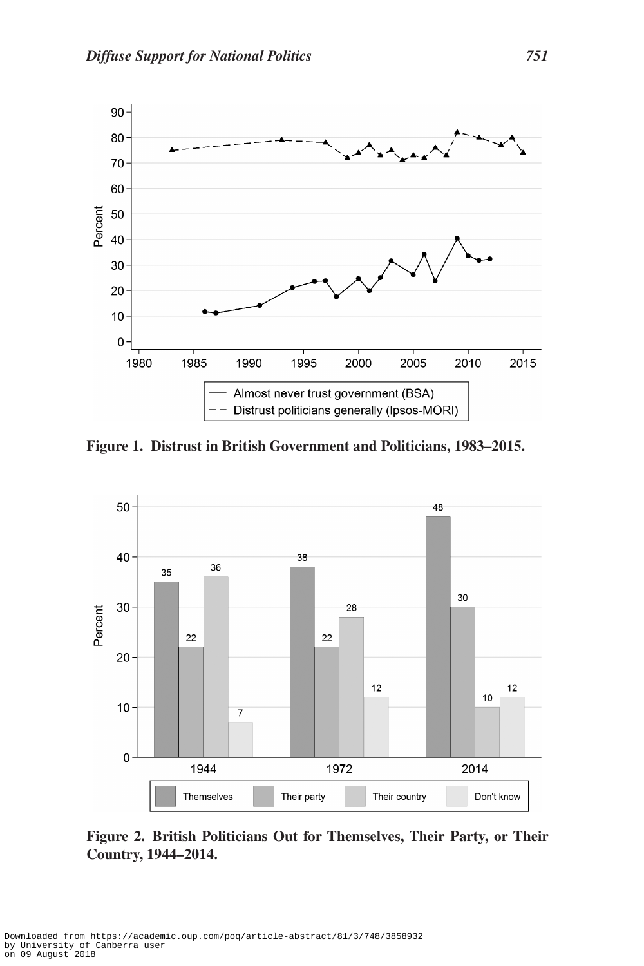

<span id="page-3-0"></span>**Figure 1. Distrust in British Government and Politicians, 1983–2015.**



<span id="page-3-1"></span>**Figure 2. British Politicians Out for Themselves, Their Party, or Their Country, 1944–2014.**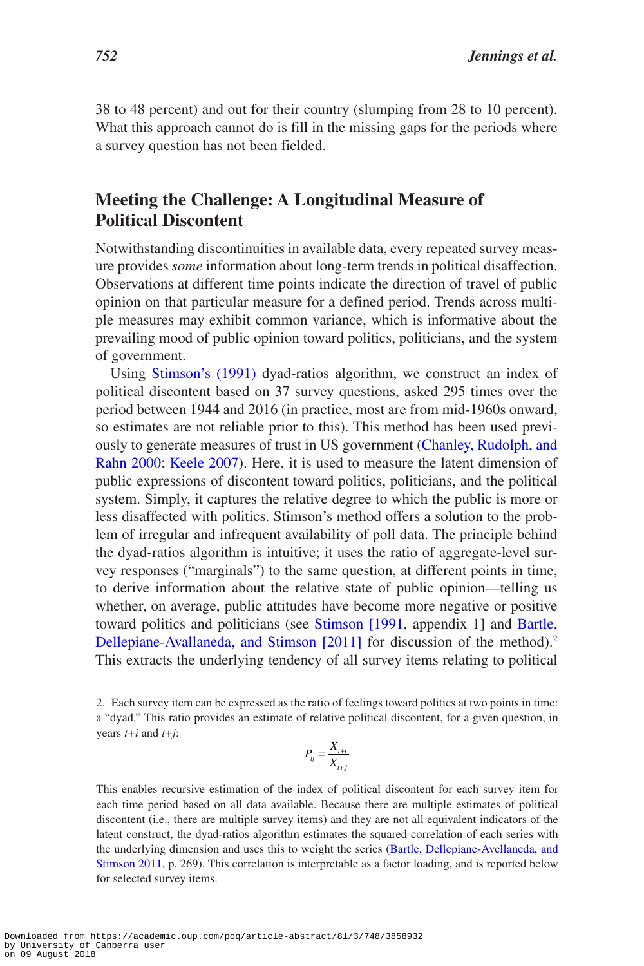38 to 48 percent) and out for their country (slumping from 28 to 10 percent). What this approach cannot do is fill in the missing gaps for the periods where a survey question has not been fielded.

## **Meeting the Challenge: A Longitudinal Measure of Political Discontent**

Notwithstanding discontinuities in available data, every repeated survey measure provides *some* information about long-term trends in political disaffection. Observations at different time points indicate the direction of travel of public opinion on that particular measure for a defined period. Trends across multiple measures may exhibit common variance, which is informative about the prevailing mood of public opinion toward politics, politicians, and the system of government.

Using [Stimson's \(1991\)](#page-10-0) dyad-ratios algorithm, we construct an index of political discontent based on 37 survey questions, asked 295 times over the period between 1944 and 2016 (in practice, most are from mid-1960s onward, so estimates are not reliable prior to this). This method has been used previously to generate measures of trust in US government ([Chanley, Rudolph, and](#page-9-5) [Rahn 2000](#page-9-5); [Keele 2007](#page-9-6)). Here, it is used to measure the latent dimension of public expressions of discontent toward politics, politicians, and the political system. Simply, it captures the relative degree to which the public is more or less disaffected with politics. Stimson's method offers a solution to the problem of irregular and infrequent availability of poll data. The principle behind the dyad-ratios algorithm is intuitive; it uses the ratio of aggregate-level survey responses ("marginals") to the same question, at different points in time, to derive information about the relative state of public opinion—telling us whether, on average, public attitudes have become more negative or positive toward politics and politicians (see [Stimson \[1991,](#page-10-0) appendix 1] and [Bartle,](#page-9-7)  [Dellepiane-Avallaneda, and Stimson \[2011\]](#page-9-7) for discussion of the method).<sup>[2](#page-4-0)</sup> This extracts the underlying tendency of all survey items relating to political

<span id="page-4-0"></span>2. Each survey item can be expressed as the ratio of feelings toward politics at two points in time: a "dyad." This ratio provides an estimate of relative political discontent, for a given question, in years *t+i* and *t+j*:

$$
P_{ij} = \frac{X_{t+i}}{X_{t+j}}
$$

This enables recursive estimation of the index of political discontent for each survey item for each time period based on all data available. Because there are multiple estimates of political discontent (i.e., there are multiple survey items) and they are not all equivalent indicators of the latent construct, the dyad-ratios algorithm estimates the squared correlation of each series with the underlying dimension and uses this to weight the series ([Bartle, Dellepiane-Avellaneda, and](#page-9-7) [Stimson 2011,](#page-9-7) p. 269). This correlation is interpretable as a factor loading, and is reported below for selected survey items.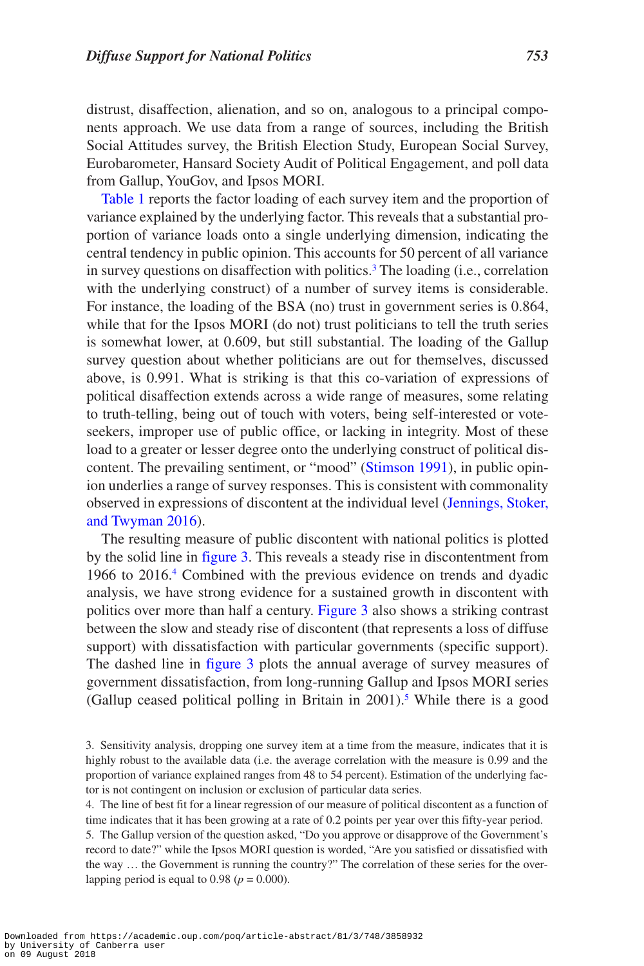distrust, disaffection, alienation, and so on, analogous to a principal components approach. We use data from a range of sources, including the British Social Attitudes survey, the British Election Study, European Social Survey, Eurobarometer, Hansard Society Audit of Political Engagement, and poll data from Gallup, YouGov, and Ipsos MORI.

[Table 1](#page-6-0) reports the factor loading of each survey item and the proportion of variance explained by the underlying factor. This reveals that a substantial proportion of variance loads onto a single underlying dimension, indicating the central tendency in public opinion. This accounts for 50 percent of all variance in survey questions on disaffection with politics.<sup>[3](#page-5-0)</sup> The loading (i.e., correlation with the underlying construct) of a number of survey items is considerable. For instance, the loading of the BSA (no) trust in government series is 0.864, while that for the Ipsos MORI (do not) trust politicians to tell the truth series is somewhat lower, at 0.609, but still substantial. The loading of the Gallup survey question about whether politicians are out for themselves, discussed above, is 0.991. What is striking is that this co-variation of expressions of political disaffection extends across a wide range of measures, some relating to truth-telling, being out of touch with voters, being self-interested or voteseekers, improper use of public office, or lacking in integrity. Most of these load to a greater or lesser degree onto the underlying construct of political discontent. The prevailing sentiment, or "mood" [\(Stimson 1991\)](#page-10-0), in public opinion underlies a range of survey responses. This is consistent with commonality observed in expressions of discontent at the individual level [\(Jennings, Stoker,](#page-9-8) [and Twyman 2016](#page-9-8)).

The resulting measure of public discontent with national politics is plotted by the solid line in [figure 3.](#page-8-0) This reveals a steady rise in discontentment from 1966 to 2016.<sup>[4](#page-5-1)</sup> Combined with the previous evidence on trends and dyadic analysis, we have strong evidence for a sustained growth in discontent with politics over more than half a century. [Figure 3](#page-8-0) also shows a striking contrast between the slow and steady rise of discontent (that represents a loss of diffuse support) with dissatisfaction with particular governments (specific support). The dashed line in [figure 3](#page-8-0) plots the annual average of survey measures of government dissatisfaction, from long-running Gallup and Ipsos MORI series (Gallup ceased political polling in Britain in  $2001$ ).<sup>5</sup> While there is a good

<span id="page-5-1"></span>4. The line of best fit for a linear regression of our measure of political discontent as a function of time indicates that it has been growing at a rate of 0.2 points per year over this fifty-year period.

<span id="page-5-2"></span>5. The Gallup version of the question asked, "Do you approve or disapprove of the Government's record to date?" while the Ipsos MORI question is worded, "Are you satisfied or dissatisfied with the way … the Government is running the country?" The correlation of these series for the overlapping period is equal to  $0.98$  ( $p = 0.000$ ).

<span id="page-5-0"></span><sup>3.</sup> Sensitivity analysis, dropping one survey item at a time from the measure, indicates that it is highly robust to the available data (i.e. the average correlation with the measure is 0.99 and the proportion of variance explained ranges from 48 to 54 percent). Estimation of the underlying factor is not contingent on inclusion or exclusion of particular data series.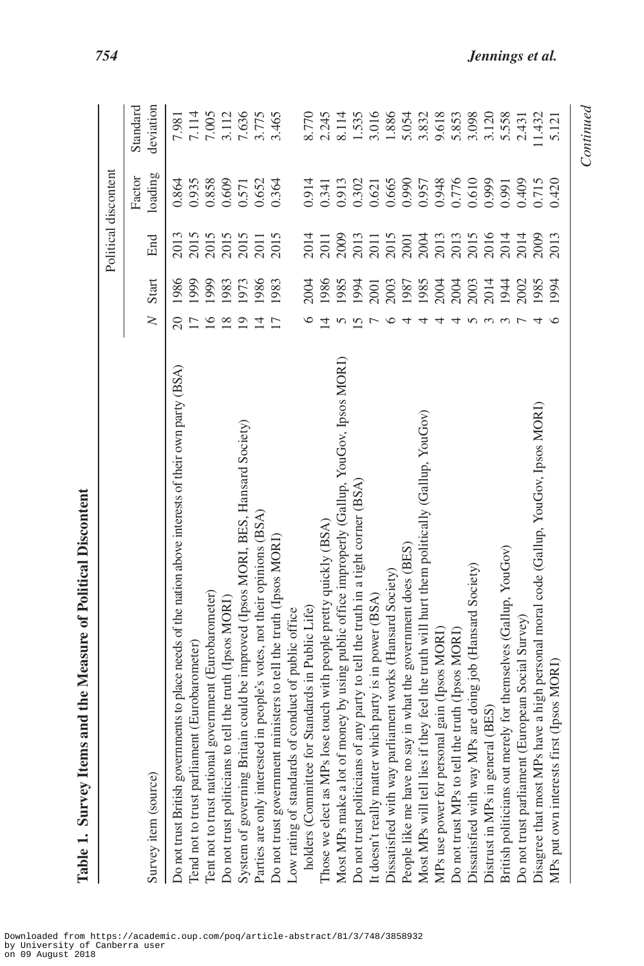|                                                                                                        |                 |       |      | Political discontent |           |
|--------------------------------------------------------------------------------------------------------|-----------------|-------|------|----------------------|-----------|
|                                                                                                        |                 |       |      | Factor               | Standard  |
| Survey item (source)                                                                                   | $\geq$          | Start | End  | loading              | deviation |
| Do not trust British governments to place needs of the nation above interests of their own party (BSA) | $\overline{20}$ | 1986  | 2013 | 0.864                | 7.981     |
| Tend not to trust parliament (Eurobarometer)                                                           |                 | 1999  | 2015 | 0.935                | 7.114     |
| Tent not to trust national government (Eurobarometer)                                                  | $\leq$          | 1999  | 2015 | 0.858                | 7.005     |
| Do not trust politicians to tell the truth (Ipsos MORI)                                                |                 | 1983  | 2015 | 0.609                | 3.112     |
| System of governing Britain could be improved (Ipsos MORI, BES, Hansard Society)                       |                 | 1973  | 2015 | 0.571                | 7.636     |
| Parties are only interested in people's votes, not their opinions (BSA)                                |                 | 1986  | 2011 | 0.652                | 3.775     |
| Do not trust government ministers to tell the truth (Ipsos MORI)                                       |                 | 1983  | 2015 | 0.364                | 3.465     |
| Low rating of standards of conduct of public office                                                    |                 |       |      |                      |           |
| holders (Committee for Standards in Public Life)                                                       |                 | 2004  | 2014 | 0.914                | 8.770     |
| Those we elect as MPs lose touch with people pretty quickly (BSA)                                      |                 | 1986  | 2011 | 0.341                | 2.245     |
| Most MPs make a lot of money by using public office improperly (Gallup, YouGov, Ipsos MORI)            |                 | 1985  | 2009 | 0.913                | 8.114     |
| Do not trust politicians of any party to tell the truth in a tight corner (BSA)                        |                 | 1994  | 2013 | 0.302                | 1.535     |
| It doesn't really matter which party is in power (BSA)                                                 |                 | 2001  | 2011 | 0.621                | 3.016     |
| Dissatisfied with way parliament works (Hansard Society)                                               |                 | 2003  | 2015 | 0.665                | 1.886     |
| People like me have no say in what the government does (BES)                                           |                 | 1987  | 2001 | 0.990                | 5.054     |
| Most MPs will tell lies if they feel the truth will hurt them politically (Gallup, YouGov)             |                 | 1985  | 2004 | 0.957                | 3.832     |
| MPs use power for personal gain (Ipsos MORI)                                                           |                 | 2004  | 2013 | 0.948                | 9.618     |
| Do not trust MPs to tell the truth (Ipsos MORI)                                                        |                 | 2004  | 2013 | 0.776                | 5.853     |
| Dissatisfied with way MPs are doing job (Hansard Society)                                              |                 | 2003  | 2015 | 0.610                | 3.098     |

<span id="page-6-0"></span>Table 1. Survey Items and the Measure of Political Discontent **Table 1. Survey Items and the Measure of Political Discontent** Continued *Continued*

 $1.432$ 5.121

2.431

2014

2009 2013

 $\circ$ 

Disagree that most MPs have a high personal moral code (Gallup, YouGov, Ipsos MORI)

British politicians out merely for themselves (Gallup, YouGov)

Do not trust parliament (European Social Survey)

MPs put own interests first (Ipsos MORI)

Dissatisfied with way MPs are doing job (Hansard Society)

Distrust in MPs in general (BES)

*754 Jennings et al.*

3.120 5.558

2016

2014

2014

1944 2002 1985 1994

 $n w w R 4$ 

0.610 0.999 0.991 0.409 0.715 0.420

2015

Dissatisfied with way MPs are doing job (Hansard Society) 5 2003 2015 0.610 3.098 Distrust in MPs in general (BES)  $3 \times 120$  3  $2014 \times 120$  3.120 British politicians out merely for themselves (Gallup, YouGov) 3 1944 2014 2014 2014 5.558 Do not trust parliament (European Social Survey) 7 2002 2014 0.431 Disagree that most MPs have a high personal moral code (Gallup, YouGov, Ipsos MORI) 4 1985 2009 0.715 11.432 MPs put own interests first (Ipsos MORI) 6  $121$  6  $121$  6  $121$  6  $121$  6  $121$  6  $121$  5.121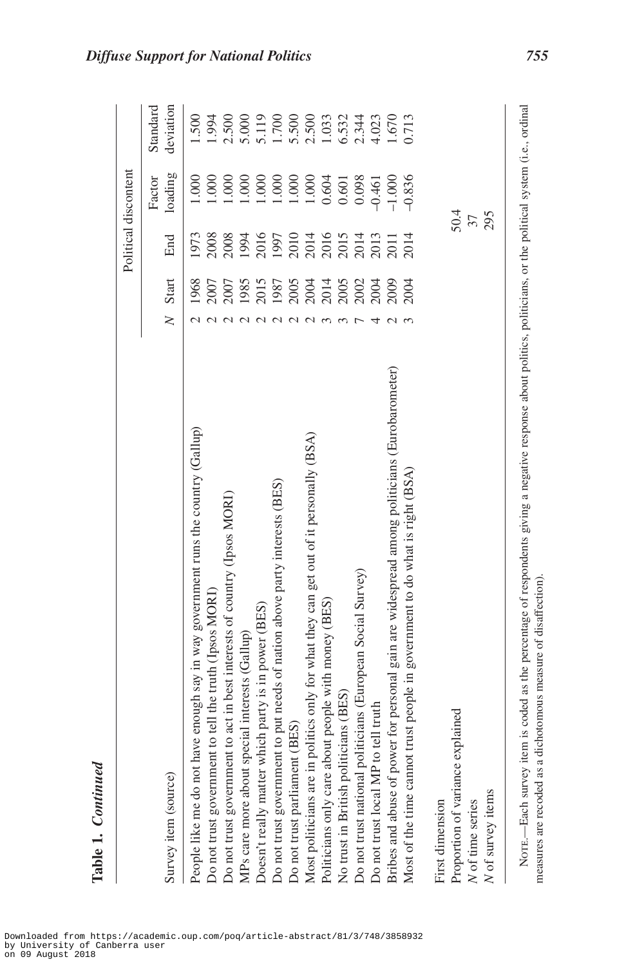|                                                                                                                                                                                                                                         |        |                      |      | Political discontent |                       |
|-----------------------------------------------------------------------------------------------------------------------------------------------------------------------------------------------------------------------------------------|--------|----------------------|------|----------------------|-----------------------|
| Survey item (source)                                                                                                                                                                                                                    | $\geq$ | Start                | End  | loading<br>Factor    | deviation<br>Standard |
| People like me do not have enough say in way government runs the country (Gallup)                                                                                                                                                       |        | 1968                 | 1973 | 1.000                | 1.500                 |
| Do not trust government to tell the truth (Ipsos MORI)                                                                                                                                                                                  |        | 2007                 | 2008 | 1.000                | 1.994                 |
| Do not trust government to act in best interests of country (Ipsos MORI)                                                                                                                                                                |        | 2007                 | 2008 | 000                  | 2.500                 |
| special interests (Gallup)<br>MPs care more about                                                                                                                                                                                       |        | 1985                 | 1994 | 000                  | 5.000                 |
| Doesn't really matter which party is in power (BES)                                                                                                                                                                                     |        | 2015                 | 2016 | 1.000                | 5.119                 |
| Do not trust government to put needs of nation above party interests (BES)                                                                                                                                                              |        | 1987                 | 1997 | 1.000                | 1.700                 |
| Do not trust parliament (BES)                                                                                                                                                                                                           |        | 2005                 | 2010 | 1.000                | 5.500                 |
| Most politicians are in politics only for what they can get out of it personally (BSA)                                                                                                                                                  |        |                      |      | $1.000\,$            | 2.500                 |
| Politicians only care about people with money (BES)                                                                                                                                                                                     |        | 2004<br>2014<br>2005 | 2014 | 0.604                | 1.033                 |
| No trust in British politicians (BES)                                                                                                                                                                                                   |        |                      | 2015 | 0.601                | 6.532                 |
| politicians (European Social Survey)<br>Do not trust national                                                                                                                                                                           |        | 2002                 | 2014 | 0.098                | 2.344                 |
| P to tell truth<br>Do not trust local MI                                                                                                                                                                                                |        | 2004                 | 2013 | $-0.461$             | 4.023                 |
| Bribes and abuse of power for personal gain are widespread among politicians (Eurobarometer)                                                                                                                                            |        | <b>2009</b>          | 2011 | $-1.000$             | 1.670                 |
| Most of the time cannot trust people in government to do what is right (BSA)                                                                                                                                                            |        | 2004                 | 2014 | $-0.836$             | 0.713                 |
| First dimension                                                                                                                                                                                                                         |        |                      |      |                      |                       |
| Proportion of variance explained                                                                                                                                                                                                        |        |                      |      | 50.4                 |                       |
| $\sqrt{N}$ of time series                                                                                                                                                                                                               |        |                      |      | $\mathfrak{Z}$       |                       |
| N of survey items                                                                                                                                                                                                                       |        |                      |      | 295                  |                       |
| item is coded as the percentage of respondents giving a negative response about politics, politicians, or the political system (i.e., ordinal<br>a dichotomous measure of disaffection)<br>NOTE.-Each survey<br>measures are recoded as |        |                      |      |                      |                       |

Downloaded from https://academic.oup.com/poq/article-abstract/81/3/748/3858932 by University of Canberra user on 09 August 2018

**Table 1.**

*Continued*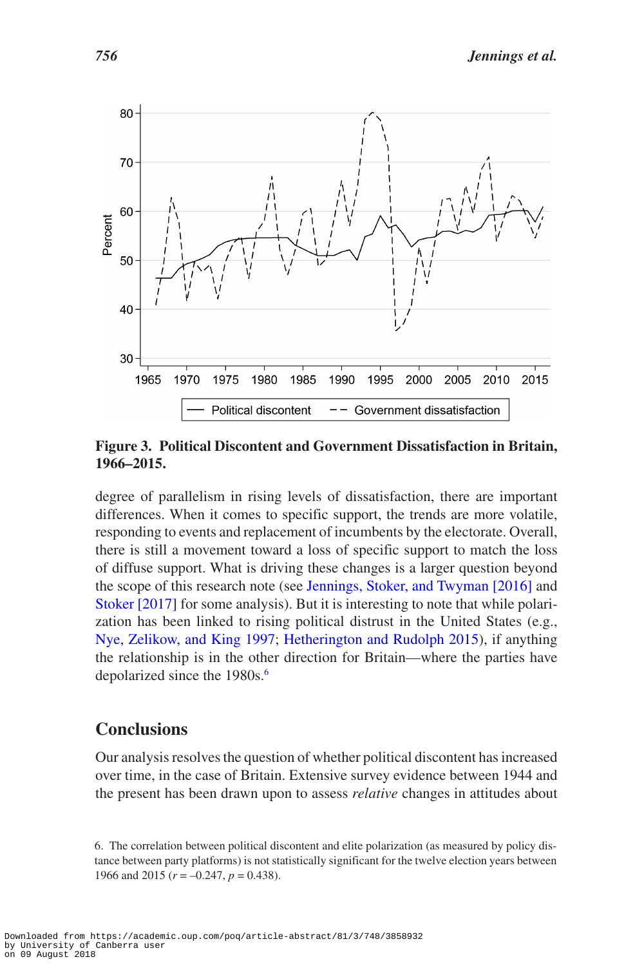

<span id="page-8-0"></span>**Figure 3. Political Discontent and Government Dissatisfaction in Britain, 1966–2015.**

degree of parallelism in rising levels of dissatisfaction, there are important differences. When it comes to specific support, the trends are more volatile, responding to events and replacement of incumbents by the electorate. Overall, there is still a movement toward a loss of specific support to match the loss of diffuse support. What is driving these changes is a larger question beyond the scope of this research note (see [Jennings, Stoker, and Twyman \[2016\]](#page-9-8) and [Stoker \[2017\]](#page-10-6) for some analysis). But it is interesting to note that while polarization has been linked to rising political distrust in the United States (e.g., [Nye, Zelikow, and King 1997;](#page-10-1) [Hetherington and Rudolph 2015](#page-9-1)), if anything the relationship is in the other direction for Britain—where the parties have depolarized since the 1980s.<sup>6</sup>

### **Conclusions**

Our analysis resolves the question of whether political discontent has increased over time, in the case of Britain. Extensive survey evidence between 1944 and the present has been drawn upon to assess *relative* changes in attitudes about

<span id="page-8-1"></span><sup>6.</sup> The correlation between political discontent and elite polarization (as measured by policy distance between party platforms) is not statistically significant for the twelve election years between 1966 and 2015 (*r* = –0.247, *p* = 0.438).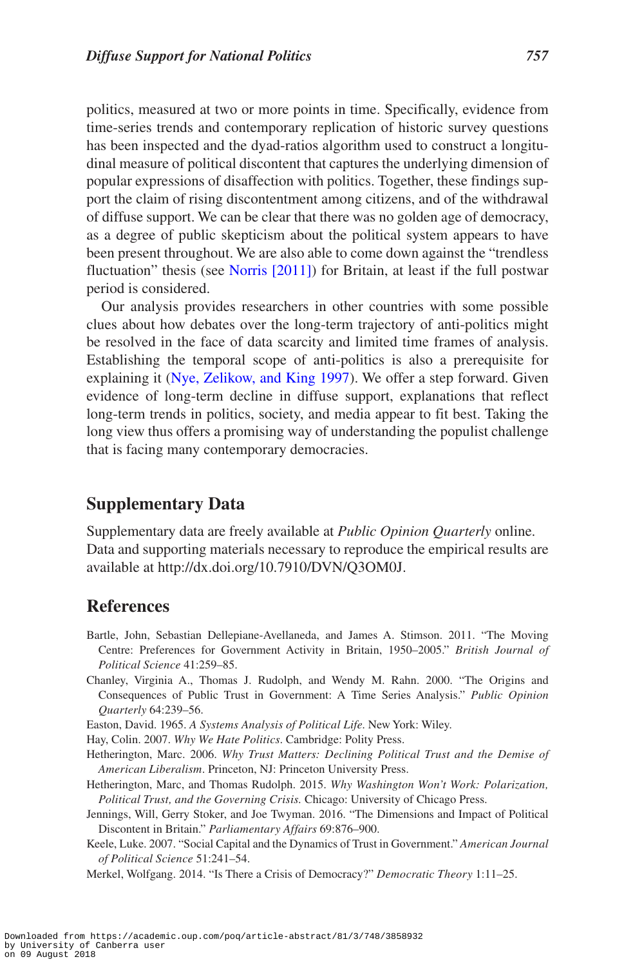politics, measured at two or more points in time. Specifically, evidence from time-series trends and contemporary replication of historic survey questions has been inspected and the dyad-ratios algorithm used to construct a longitudinal measure of political discontent that captures the underlying dimension of popular expressions of disaffection with politics. Together, these findings support the claim of rising discontentment among citizens, and of the withdrawal of diffuse support. We can be clear that there was no golden age of democracy, as a degree of public skepticism about the political system appears to have been present throughout. We are also able to come down against the "trendless fluctuation" thesis (see [Norris \[2011\]](#page-10-5)) for Britain, at least if the full postwar period is considered.

Our analysis provides researchers in other countries with some possible clues about how debates over the long-term trajectory of anti-politics might be resolved in the face of data scarcity and limited time frames of analysis. Establishing the temporal scope of anti-politics is also a prerequisite for explaining it ([Nye, Zelikow, and King 1997](#page-10-1)). We offer a step forward. Given evidence of long-term decline in diffuse support, explanations that reflect long-term trends in politics, society, and media appear to fit best. Taking the long view thus offers a promising way of understanding the populist challenge that is facing many contemporary democracies.

### **Supplementary Data**

Supplementary data are freely available at *Public Opinion Quarterly* online. Data and supporting materials necessary to reproduce the empirical results are available at http://dx.doi.org/10.7910/DVN/Q3OM0J.

#### **References**

- <span id="page-9-7"></span>Bartle, John, Sebastian Dellepiane-Avellaneda, and James A. Stimson. 2011. "The Moving Centre: Preferences for Government Activity in Britain, 1950–2005." *British Journal of Political Science* 41:259–85.
- <span id="page-9-5"></span>Chanley, Virginia A., Thomas J. Rudolph, and Wendy M. Rahn. 2000. "The Origins and Consequences of Public Trust in Government: A Time Series Analysis." *Public Opinion Quarterly* 64:239–56.

<span id="page-9-3"></span>Easton, David. 1965. *A Systems Analysis of Political Life*. New York: Wiley.

<span id="page-9-4"></span>Hay, Colin. 2007. *Why We Hate Politics*. Cambridge: Polity Press.

- <span id="page-9-0"></span>Hetherington, Marc. 2006. *Why Trust Matters: Declining Political Trust and the Demise of American Liberalism*. Princeton, NJ: Princeton University Press.
- <span id="page-9-1"></span>Hetherington, Marc, and Thomas Rudolph. 2015. *Why Washington Won't Work: Polarization, Political Trust, and the Governing Crisis.* Chicago: University of Chicago Press.
- <span id="page-9-8"></span>Jennings, Will, Gerry Stoker, and Joe Twyman. 2016. "The Dimensions and Impact of Political Discontent in Britain." *Parliamentary Affairs* 69:876–900.
- <span id="page-9-6"></span>Keele, Luke. 2007. "Social Capital and the Dynamics of Trust in Government." *American Journal of Political Science* 51:241–54.
- <span id="page-9-2"></span>Merkel, Wolfgang. 2014. "Is There a Crisis of Democracy?" *Democratic Theory* 1:11–25.